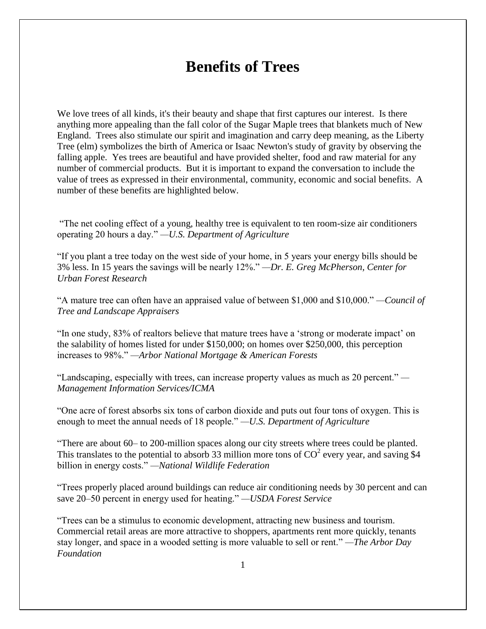## **Benefits of Trees**

We love trees of all kinds, it's their beauty and shape that first captures our interest. Is there anything more appealing than the fall color of the Sugar Maple trees that blankets much of New England. Trees also stimulate our spirit and imagination and carry deep meaning, as the Liberty Tree (elm) symbolizes the birth of America or Isaac Newton's study of gravity by observing the falling apple. Yes trees are beautiful and have provided shelter, food and raw material for any number of commercial products. But it is important to expand the conversation to include the value of trees as expressed in their environmental, community, economic and social benefits. A number of these benefits are highlighted below.

"The net cooling effect of a young, healthy tree is equivalent to ten room-size air conditioners operating 20 hours a day." *—U.S. Department of Agriculture*

"If you plant a tree today on the west side of your home, in 5 years your energy bills should be 3% less. In 15 years the savings will be nearly 12%." *—Dr. E. Greg McPherson, Center for Urban Forest Research*

"A mature tree can often have an appraised value of between \$1,000 and \$10,000." *—Council of Tree and Landscape Appraisers*

"In one study, 83% of realtors believe that mature trees have a "strong or moderate impact" on the salability of homes listed for under \$150,000; on homes over \$250,000, this perception increases to 98%." *—Arbor National Mortgage & American Forests*

"Landscaping, especially with trees, can increase property values as much as 20 percent." *— Management Information Services/ICMA*

"One acre of forest absorbs six tons of carbon dioxide and puts out four tons of oxygen. This is enough to meet the annual needs of 18 people." *—U.S. Department of Agriculture*

"There are about 60– to 200-million spaces along our city streets where trees could be planted. This translates to the potential to absorb 33 million more tons of  $CO^2$  every year, and saving \$4 billion in energy costs." *—National Wildlife Federation*

"Trees properly placed around buildings can reduce air conditioning needs by 30 percent and can save 20–50 percent in energy used for heating." *—USDA Forest Service*

"Trees can be a stimulus to economic development, attracting new business and tourism. Commercial retail areas are more attractive to shoppers, apartments rent more quickly, tenants stay longer, and space in a wooded setting is more valuable to sell or rent." *—The Arbor Day Foundation*